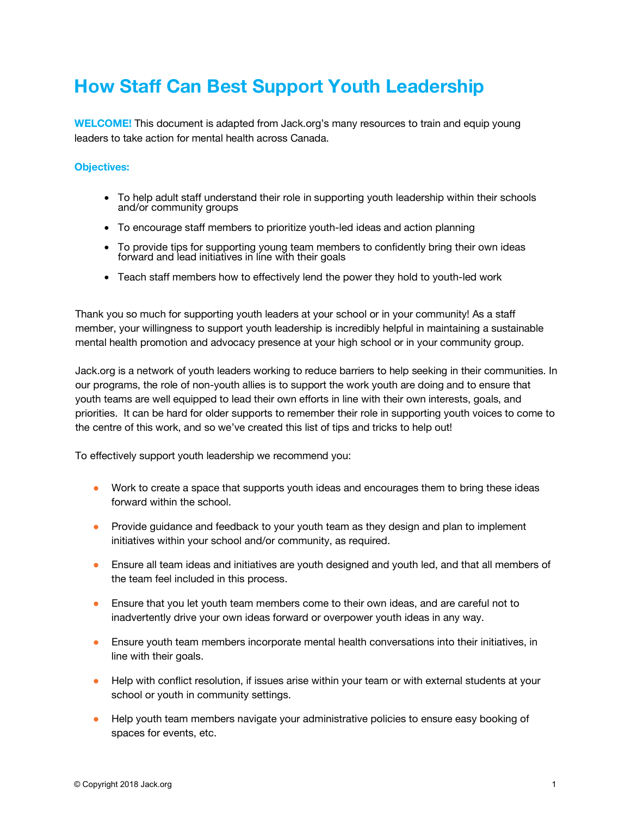## **How Staff Can Best Support Youth Leadership**

**WELCOME!** This document is adapted from Jack.org's many resources to train and equip young leaders to take action for mental health across Canada.

## **Objectives:**

- To help adult staff understand their role in supporting youth leadership within their schools and/or community groups
- To encourage staff members to prioritize youth-led ideas and action planning
- To provide tips for supporting young team members to confidently bring their own ideas forward and lead initiatives in line with their goals
- Teach staff members how to effectively lend the power they hold to youth-led work

Thank you so much for supporting youth leaders at your school or in your community! As a staff member, your willingness to support youth leadership is incredibly helpful in maintaining a sustainable mental health promotion and advocacy presence at your high school or in your community group.

Jack.org is a network of youth leaders working to reduce barriers to help seeking in their communities. In our programs, the role of non-youth allies is to support the work youth are doing and to ensure that youth teams are well equipped to lead their own efforts in line with their own interests, goals, and priorities. It can be hard for older supports to remember their role in supporting youth voices to come to the centre of this work, and so we've created this list of tips and tricks to help out!

To effectively support youth leadership we recommend you:

- Work to create a space that supports youth ideas and encourages them to bring these ideas forward within the school.
- Provide guidance and feedback to your youth team as they design and plan to implement initiatives within your school and/or community, as required.
- Ensure all team ideas and initiatives are youth designed and youth led, and that all members of the team feel included in this process.
- Ensure that you let youth team members come to their own ideas, and are careful not to inadvertently drive your own ideas forward or overpower youth ideas in any way.
- Ensure youth team members incorporate mental health conversations into their initiatives, in line with their goals.
- Help with conflict resolution, if issues arise within your team or with external students at your school or youth in community settings.
- Help youth team members navigate your administrative policies to ensure easy booking of spaces for events, etc.